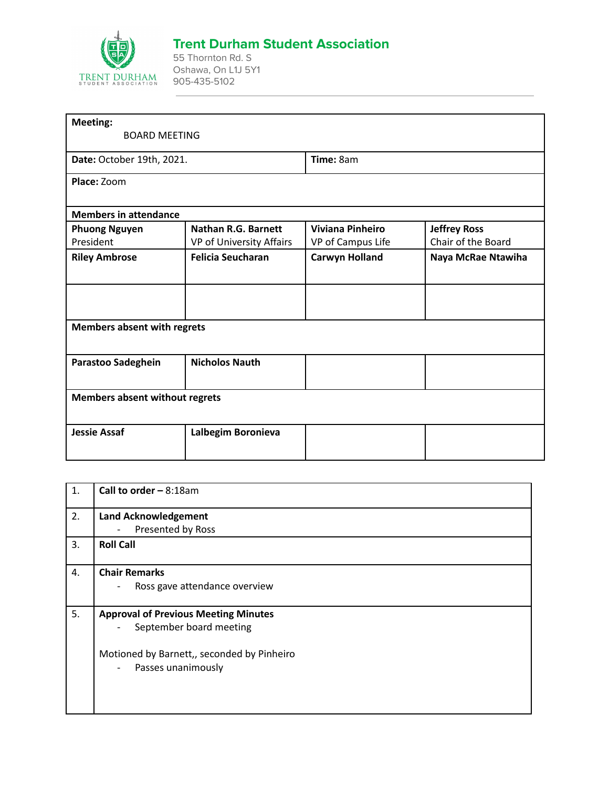

## **Trent Durham Student Association**

55 Thornton Rd. S Oshawa, On L1J 5Y1 905-435-5102

| <b>BOARD MEETING</b>                  |                                                                |                     |  |  |
|---------------------------------------|----------------------------------------------------------------|---------------------|--|--|
| Date: October 19th, 2021.             |                                                                | Time: 8am           |  |  |
|                                       |                                                                |                     |  |  |
|                                       |                                                                |                     |  |  |
| <b>Nathan R.G. Barnett</b>            | <b>Viviana Pinheiro</b>                                        | <b>Jeffrey Ross</b> |  |  |
|                                       |                                                                | Chair of the Board  |  |  |
| <b>Felicia Seucharan</b>              | <b>Carwyn Holland</b>                                          | Naya McRae Ntawiha  |  |  |
|                                       |                                                                |                     |  |  |
|                                       |                                                                |                     |  |  |
| <b>Nicholos Nauth</b>                 |                                                                |                     |  |  |
| <b>Members absent without regrets</b> |                                                                |                     |  |  |
| Lalbegim Boronieva                    |                                                                |                     |  |  |
|                                       | VP of University Affairs<br><b>Members absent with regrets</b> | VP of Campus Life   |  |  |

| 1. | Call to order $-8:18$ am                                  |
|----|-----------------------------------------------------------|
| 2. | <b>Land Acknowledgement</b>                               |
|    | Presented by Ross<br>$\overline{\phantom{0}}$             |
| 3. | <b>Roll Call</b>                                          |
| 4. | <b>Chair Remarks</b>                                      |
|    | Ross gave attendance overview<br>$\overline{\phantom{0}}$ |
|    |                                                           |
| 5. | <b>Approval of Previous Meeting Minutes</b>               |
|    | September board meeting<br>$\qquad \qquad -$              |
|    | Motioned by Barnett,, seconded by Pinheiro                |
|    | Passes unanimously<br>$\qquad \qquad -$                   |
|    |                                                           |
|    |                                                           |
|    |                                                           |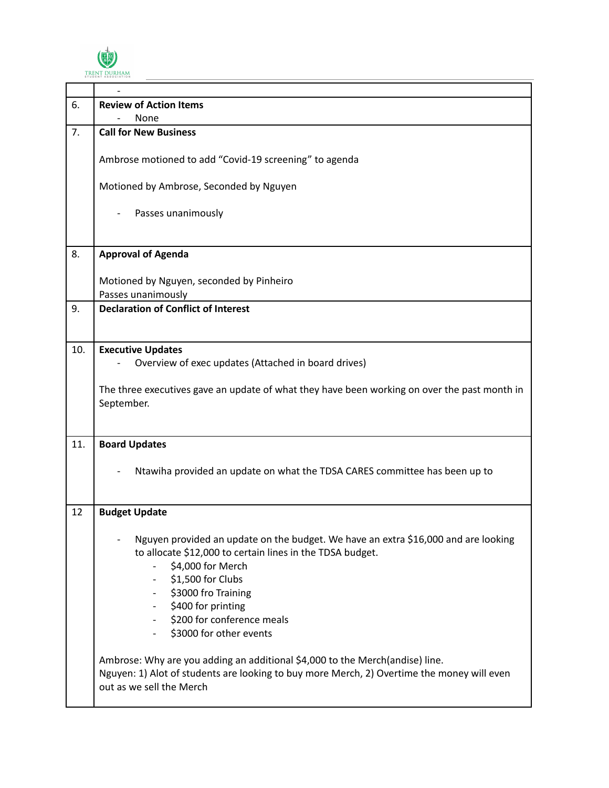

| 6.  | <b>Review of Action Items</b>                                                                                                                                                                                                                                                                   |
|-----|-------------------------------------------------------------------------------------------------------------------------------------------------------------------------------------------------------------------------------------------------------------------------------------------------|
|     | None                                                                                                                                                                                                                                                                                            |
| 7.  | <b>Call for New Business</b>                                                                                                                                                                                                                                                                    |
|     | Ambrose motioned to add "Covid-19 screening" to agenda                                                                                                                                                                                                                                          |
|     | Motioned by Ambrose, Seconded by Nguyen                                                                                                                                                                                                                                                         |
|     | Passes unanimously                                                                                                                                                                                                                                                                              |
| 8.  | <b>Approval of Agenda</b>                                                                                                                                                                                                                                                                       |
|     | Motioned by Nguyen, seconded by Pinheiro<br>Passes unanimously                                                                                                                                                                                                                                  |
| 9.  | <b>Declaration of Conflict of Interest</b>                                                                                                                                                                                                                                                      |
|     |                                                                                                                                                                                                                                                                                                 |
| 10. | <b>Executive Updates</b><br>Overview of exec updates (Attached in board drives)<br>The three executives gave an update of what they have been working on over the past month in<br>September.                                                                                                   |
|     |                                                                                                                                                                                                                                                                                                 |
| 11. | <b>Board Updates</b>                                                                                                                                                                                                                                                                            |
|     | Ntawiha provided an update on what the TDSA CARES committee has been up to                                                                                                                                                                                                                      |
| 12  | <b>Budget Update</b>                                                                                                                                                                                                                                                                            |
|     | Nguyen provided an update on the budget. We have an extra \$16,000 and are looking<br>to allocate \$12,000 to certain lines in the TDSA budget.<br>\$4,000 for Merch<br>\$1,500 for Clubs<br>\$3000 fro Training<br>\$400 for printing<br>\$200 for conference meals<br>\$3000 for other events |
|     | Ambrose: Why are you adding an additional \$4,000 to the Merch(andise) line.<br>Nguyen: 1) Alot of students are looking to buy more Merch, 2) Overtime the money will even<br>out as we sell the Merch                                                                                          |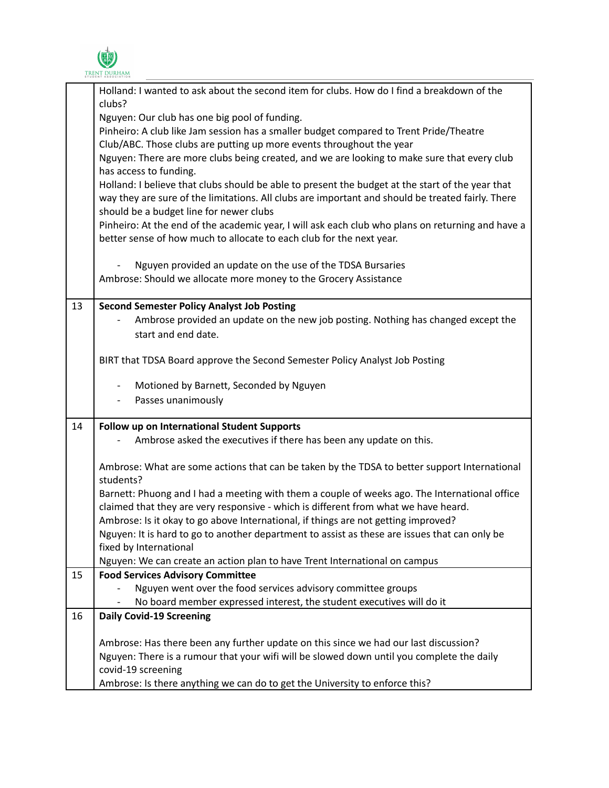

|    | I RENT DURHAM<br>STUDENT ASSOCIATION                                                                                                                                                                                                             |
|----|--------------------------------------------------------------------------------------------------------------------------------------------------------------------------------------------------------------------------------------------------|
|    | Holland: I wanted to ask about the second item for clubs. How do I find a breakdown of the<br>clubs?                                                                                                                                             |
|    | Nguyen: Our club has one big pool of funding.                                                                                                                                                                                                    |
|    | Pinheiro: A club like Jam session has a smaller budget compared to Trent Pride/Theatre                                                                                                                                                           |
|    | Club/ABC. Those clubs are putting up more events throughout the year                                                                                                                                                                             |
|    | Nguyen: There are more clubs being created, and we are looking to make sure that every club<br>has access to funding.                                                                                                                            |
|    | Holland: I believe that clubs should be able to present the budget at the start of the year that<br>way they are sure of the limitations. All clubs are important and should be treated fairly. There<br>should be a budget line for newer clubs |
|    | Pinheiro: At the end of the academic year, I will ask each club who plans on returning and have a<br>better sense of how much to allocate to each club for the next year.                                                                        |
|    | Nguyen provided an update on the use of the TDSA Bursaries                                                                                                                                                                                       |
|    | Ambrose: Should we allocate more money to the Grocery Assistance                                                                                                                                                                                 |
| 13 | <b>Second Semester Policy Analyst Job Posting</b>                                                                                                                                                                                                |
|    | Ambrose provided an update on the new job posting. Nothing has changed except the                                                                                                                                                                |
|    | start and end date.                                                                                                                                                                                                                              |
|    | BIRT that TDSA Board approve the Second Semester Policy Analyst Job Posting                                                                                                                                                                      |
|    | Motioned by Barnett, Seconded by Nguyen<br>$\overline{\phantom{a}}$                                                                                                                                                                              |
|    | Passes unanimously                                                                                                                                                                                                                               |
| 14 | Follow up on International Student Supports                                                                                                                                                                                                      |
|    | Ambrose asked the executives if there has been any update on this.                                                                                                                                                                               |
|    | Ambrose: What are some actions that can be taken by the TDSA to better support International<br>students?                                                                                                                                        |
|    | Barnett: Phuong and I had a meeting with them a couple of weeks ago. The International office                                                                                                                                                    |
|    | claimed that they are very responsive - which is different from what we have heard.                                                                                                                                                              |
|    | Ambrose: Is it okay to go above International, if things are not getting improved?                                                                                                                                                               |
|    | Nguyen: It is hard to go to another department to assist as these are issues that can only be                                                                                                                                                    |
|    | fixed by International                                                                                                                                                                                                                           |
|    | Nguyen: We can create an action plan to have Trent International on campus                                                                                                                                                                       |
| 15 | <b>Food Services Advisory Committee</b>                                                                                                                                                                                                          |
|    | Nguyen went over the food services advisory committee groups                                                                                                                                                                                     |
|    | No board member expressed interest, the student executives will do it                                                                                                                                                                            |
| 16 | <b>Daily Covid-19 Screening</b>                                                                                                                                                                                                                  |
|    | Ambrose: Has there been any further update on this since we had our last discussion?                                                                                                                                                             |
|    | Nguyen: There is a rumour that your wifi will be slowed down until you complete the daily                                                                                                                                                        |
|    | covid-19 screening                                                                                                                                                                                                                               |
|    | Ambrose: Is there anything we can do to get the University to enforce this?                                                                                                                                                                      |